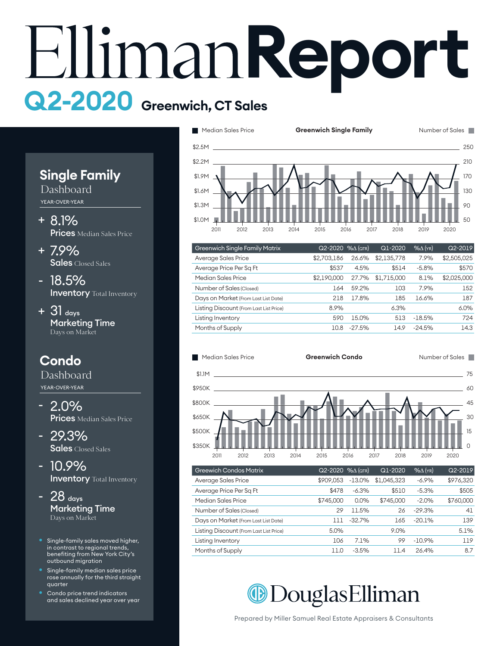# **Report Q2-2020 Greenwich, CT Sales**



Dashboard YEAR-OVER-YEAR

- 8.1% + **Prices** Median Sales Price
- 7.9% + Sales Closed Sales
- 18.5% **Inventory** Total Inventory
- $+$  31  $_{\text{days}}$ Marketing Time Days on Market

# **Condo**

Dashboard YEAR-OVER-YEAR

- 2.0% **Prices** Median Sales Price
- 29.3% Sales Closed Sales
- 10.9% **Inventory** Total Inventory
- $28$  days Marketing Time Days on Market
- Single-family sales moved higher, in contrast to regional trends, benefiting from New York City's outbound migration
- Single-family median sales price rose annually for the third straight quarter
- Condo price trend indicators and sales declined year over year



| <b>Greenwich Single Family Matrix</b>   | $Q2 - 2020$ % $\Delta$ (QTR) |          | Q1-2020     | $%$ $\Delta$ (YR) | $Q2 - 2019$ |
|-----------------------------------------|------------------------------|----------|-------------|-------------------|-------------|
| Average Sales Price                     | \$2,703,186                  | 26.6%    | \$2,135,778 | 7.9%              | \$2,505,025 |
| Average Price Per Sq Ft                 | \$537                        | 4.5%     | \$514       | $-5.8%$           | \$570       |
| Median Sales Price                      | \$2,190,000                  | 27.7%    | \$1,715,000 | 8.1%              | \$2,025,000 |
| Number of Sales (Closed)                | 164                          | 59.2%    | 103         | 7.9%              | 152         |
| Days on Market (From Last List Date)    | 218                          | 17.8%    | 185         | 16.6%             | 187         |
| Listing Discount (From Last List Price) | 8.9%                         |          | 6.3%        |                   | 6.0%        |
| Listing Inventory                       | 590                          | 15.0%    | 513         | $-18.5%$          | 724         |
| Months of Supply                        | 10.8                         | $-27.5%$ | 14.9        | $-24.5%$          | 14.3        |
|                                         |                              |          |             |                   |             |



| <b>Greewich Condos Matrix</b>           | Q2-2020 % (QTR) |           | $Q1-2020$   | $%$ $\Delta$ (YR) | Q2-2019   |
|-----------------------------------------|-----------------|-----------|-------------|-------------------|-----------|
| Average Sales Price                     | \$909.053       | $-13.0\%$ | \$1,045,323 | $-6.9%$           | \$976,320 |
| Average Price Per Sq Ft                 | \$478           | $-6.3%$   | \$510       | $-5.3%$           | \$505     |
| Median Sales Price                      | \$745,000       | 0.0%      | \$745,000   | $-2.0%$           | \$760,000 |
| Number of Sales (Closed)                | 29              | 11.5%     | 26          | $-29.3%$          | 41        |
| Days on Market (From Last List Date)    | 111             | $-32.7%$  | 165         | $-20.1%$          | 139       |
| Listing Discount (From Last List Price) | 5.0%            |           | $9.0\%$     |                   | 5.1%      |
| Listing Inventory                       | 106             | 7.1%      | 99          | $-10.9%$          | 119       |
| Months of Supply                        | 11.0            | $-3.5%$   | 11.4        | 26.4%             | 8.7       |

**@DouglasElliman** 

Prepared by Miller Samuel Real Estate Appraisers & Consultants